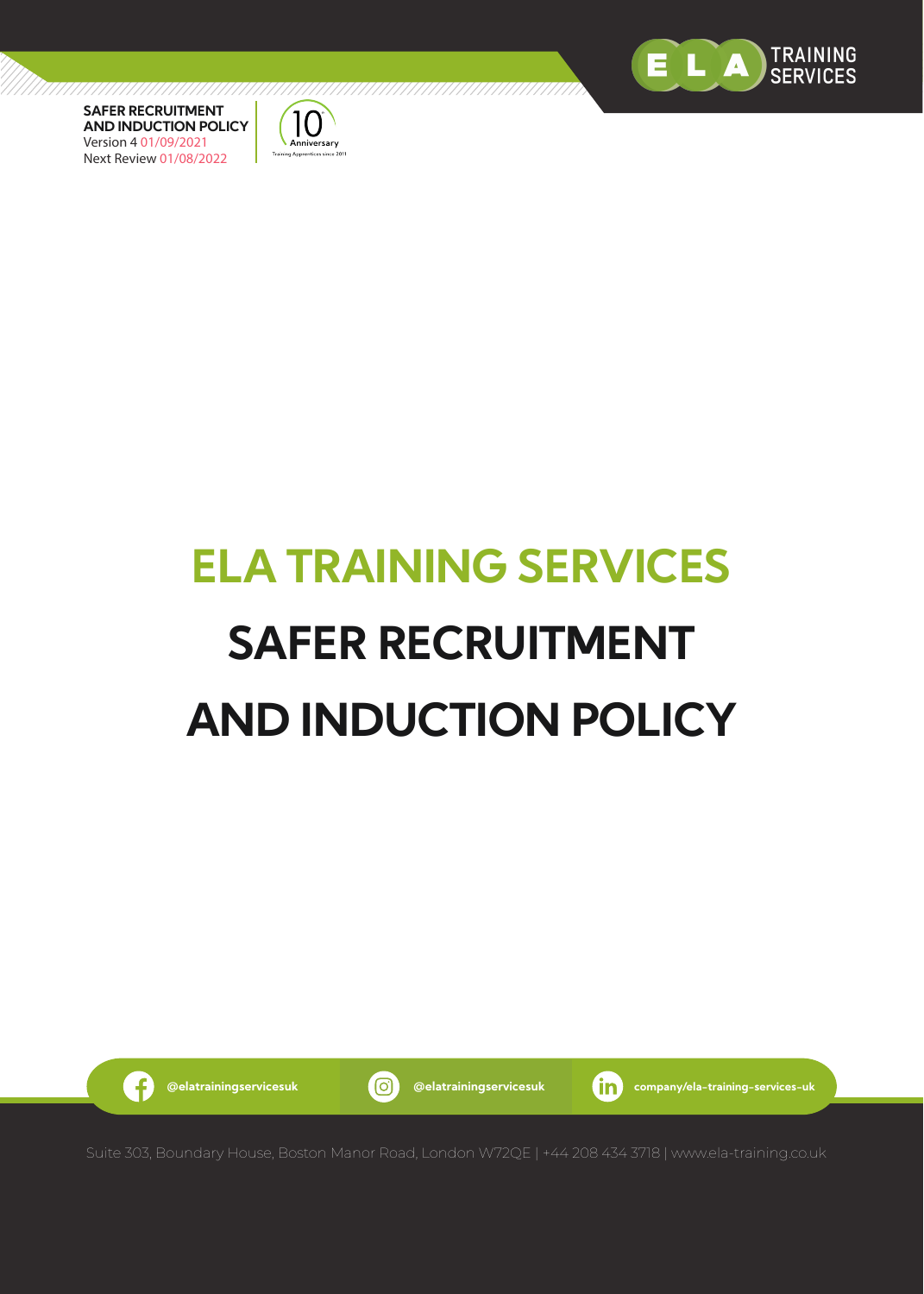



# **ELA TRAINING SERVICES SAFER RECRUITMENT AND INDUCTION POLICY**

/////////////

G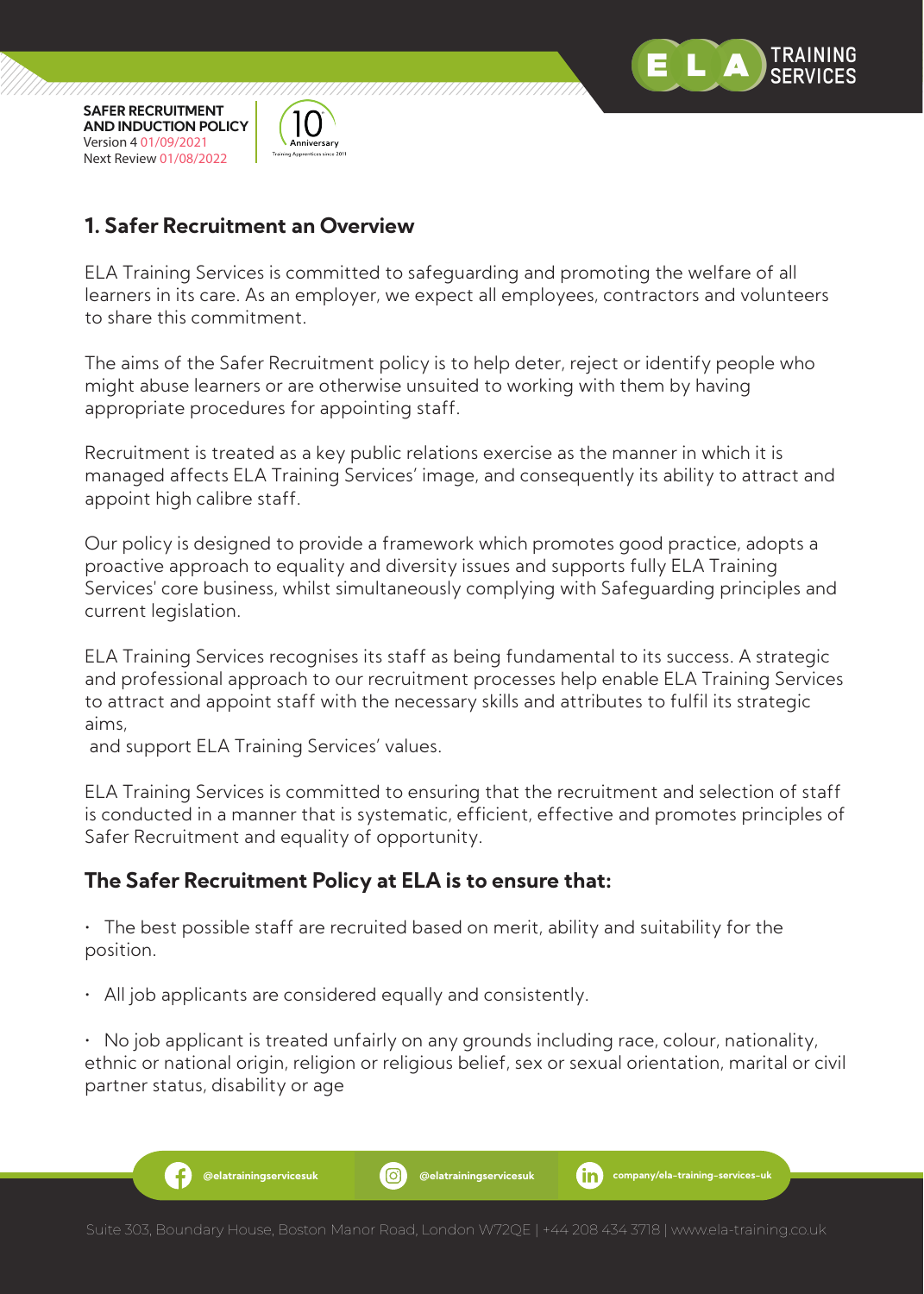



# **1. Safer Recruitment an Overview**

ELA Training Services is committed to safeguarding and promoting the welfare of all learners in its care. As an employer, we expect all employees, contractors and volunteers to share this commitment.

The aims of the Safer Recruitment policy is to help deter, reject or identify people who might abuse learners or are otherwise unsuited to working with them by having appropriate procedures for appointing staff.

Recruitment is treated as a key public relations exercise as the manner in which it is managed affects ELA Training Services' image, and consequently its ability to attract and appoint high calibre staff.

Our policy is designed to provide a framework which promotes good practice, adopts a proactive approach to equality and diversity issues and supports fully ELA Training Services' core business, whilst simultaneously complying with Safeguarding principles and current legislation.

ELA Training Services recognises its staff as being fundamental to its success. A strategic and professional approach to our recruitment processes help enable ELA Training Services to attract and appoint staff with the necessary skills and attributes to fulfil its strategic aims,

and support ELA Training Services' values.

ELA Training Services is committed to ensuring that the recruitment and selection of staff is conducted in a manner that is systematic, efficient, effective and promotes principles of Safer Recruitment and equality of opportunity.

# **The Safer Recruitment Policy at ELA is to ensure that:**

• The best possible staff are recruited based on merit, ability and suitability for the position.

• All job applicants are considered equally and consistently.

• No job applicant is treated unfairly on any grounds including race, colour, nationality, ethnic or national origin, religion or religious belief, sex or sexual orientation, marital or civil partner status, disability or age

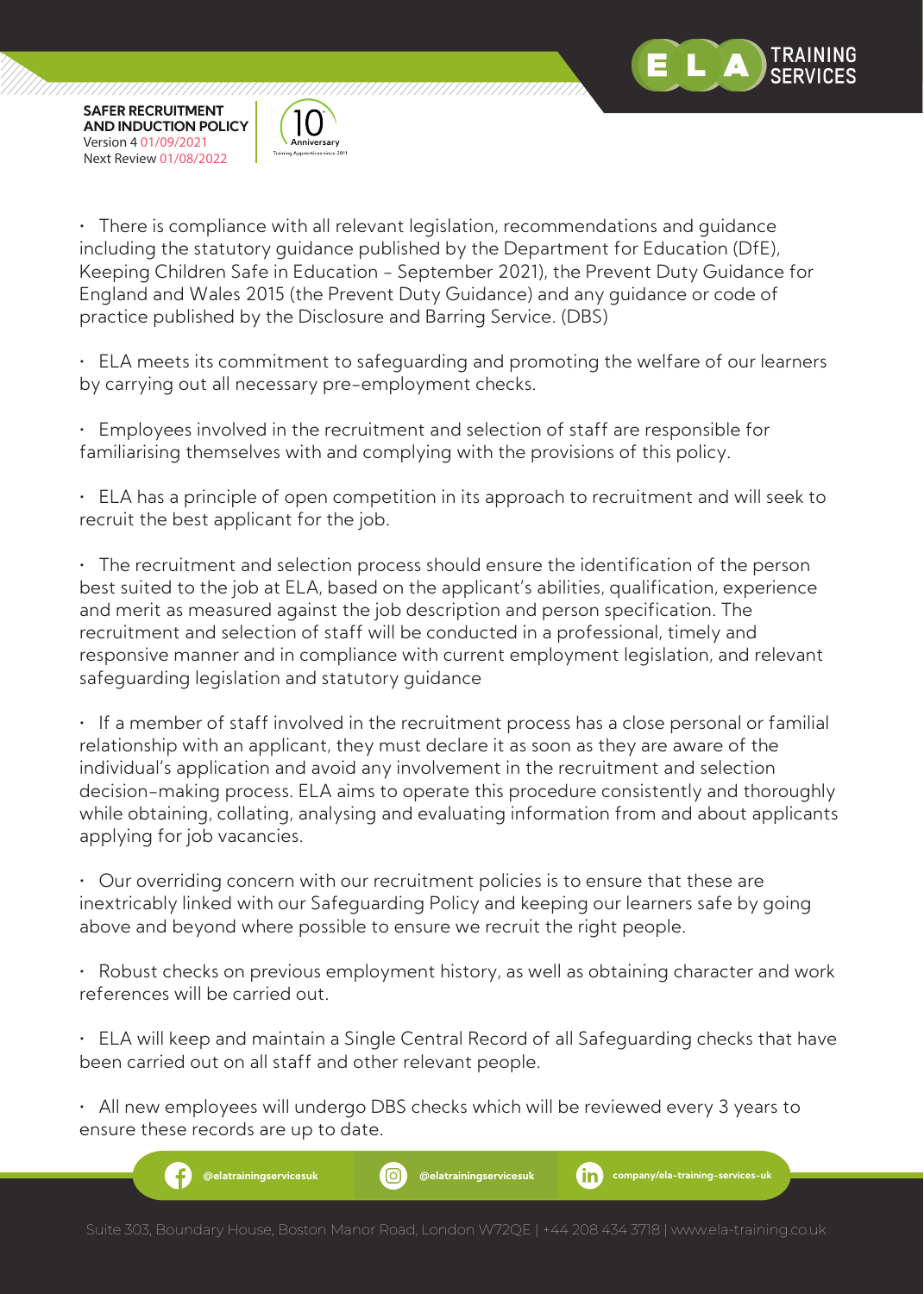

,,,,,,,,,,,,,,,,,,,,,,,,,,,,,



• There is compliance with all relevant legislation, recommendations and guidance including the statutory guidance published by the Department for Education (DfE), Keeping Children Safe in Education - September 2021), the Prevent Duty Guidance for England and Wales 2015 (the Prevent Duty Guidance) and any guidance or code of practice published by the Disclosure and Barring Service. (DBS)

• ELA meets its commitment to safeguarding and promoting the welfare of our learners by carrying out all necessary pre-employment checks.

• Employees involved in the recruitment and selection of staff are responsible for familiarising themselves with and complying with the provisions of this policy.

• ELA has a principle of open competition in its approach to recruitment and will seek to recruit the best applicant for the job.

• The recruitment and selection process should ensure the identification of the person best suited to the job at ELA, based on the applicant's abilities, qualification, experience and merit as measured against the job description and person specification. The recruitment and selection of staff will be conducted in a professional, timely and responsive manner and in compliance with current employment legislation, and relevant safeguarding legislation and statutory guidance

• If a member of staff involved in the recruitment process has a close personal or familial relationship with an applicant, they must declare it as soon as they are aware of the individual's application and avoid any involvement in the recruitment and selection decision-making process. ELA aims to operate this procedure consistently and thoroughly while obtaining, collating, analysing and evaluating information from and about applicants applying for job vacancies.

• Our overriding concern with our recruitment policies is to ensure that these are inextricably linked with our Safeguarding Policy and keeping our learners safe by going above and beyond where possible to ensure we recruit the right people.

• Robust checks on previous employment history, as well as obtaining character and work references will be carried out.

• ELA will keep and maintain a Single Central Record of all Safeguarding checks that have been carried out on all staff and other relevant people.

• All new employees will undergo DBS checks which will be reviewed every 3 years to ensure these records are up to date.

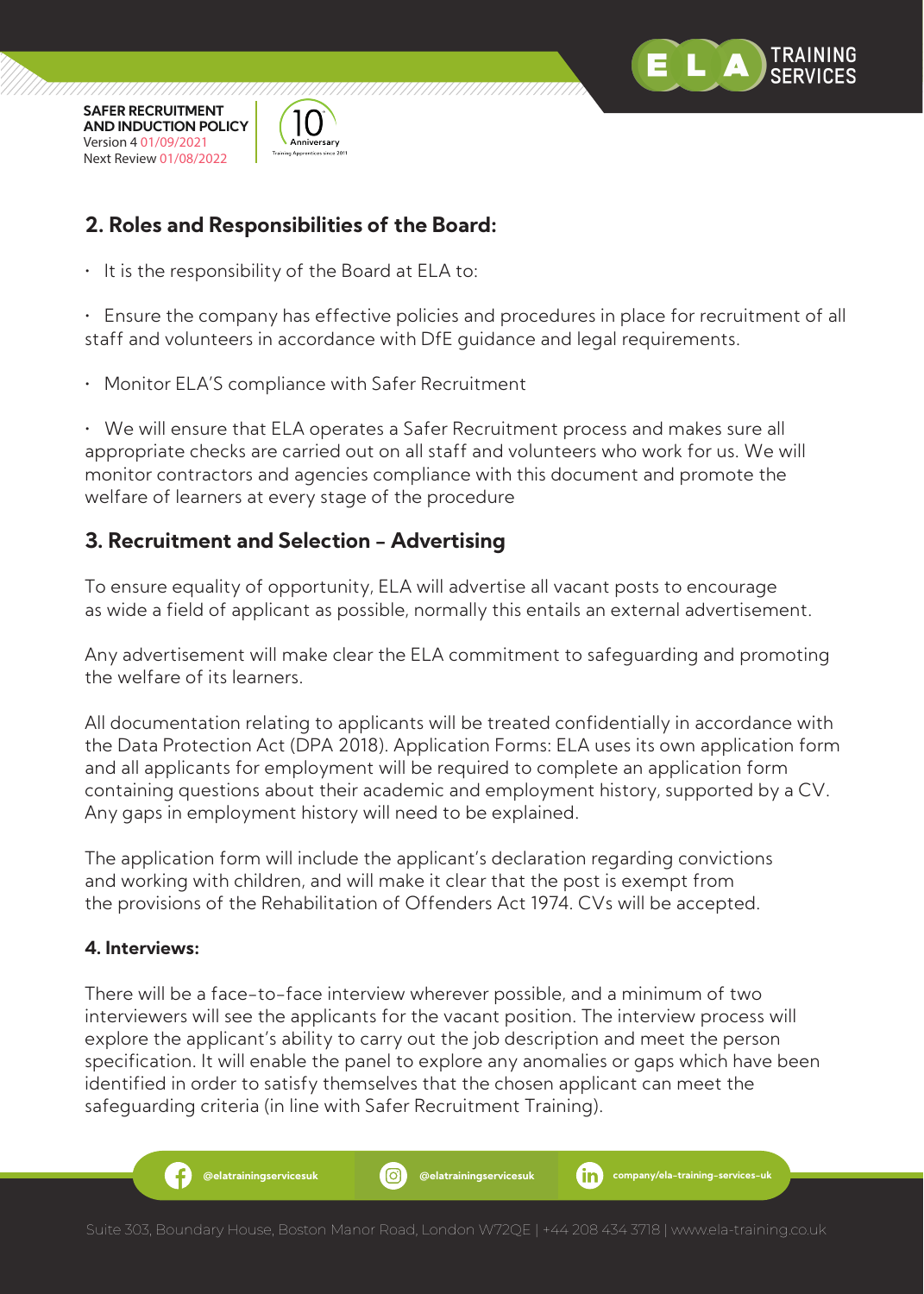

///////////////////////



# **2. Roles and Responsibilities of the Board:**

• It is the responsibility of the Board at ELA to:

• Ensure the company has effective policies and procedures in place for recruitment of all staff and volunteers in accordance with DfE guidance and legal requirements.

• Monitor ELA'S compliance with Safer Recruitment

• We will ensure that ELA operates a Safer Recruitment process and makes sure all appropriate checks are carried out on all staff and volunteers who work for us. We will monitor contractors and agencies compliance with this document and promote the welfare of learners at every stage of the procedure

# **3. Recruitment and Selection - Advertising**

To ensure equality of opportunity, ELA will advertise all vacant posts to encourage as wide a field of applicant as possible, normally this entails an external advertisement.

Any advertisement will make clear the ELA commitment to safeguarding and promoting the welfare of its learners.

All documentation relating to applicants will be treated confidentially in accordance with the Data Protection Act (DPA 2018). Application Forms: ELA uses its own application form and all applicants for employment will be required to complete an application form containing questions about their academic and employment history, supported by a CV. Any gaps in employment history will need to be explained.

The application form will include the applicant's declaration regarding convictions and working with children, and will make it clear that the post is exempt from the provisions of the Rehabilitation of Offenders Act 1974. CVs will be accepted.

# **4. Interviews:**

There will be a face-to-face interview wherever possible, and a minimum of two interviewers will see the applicants for the vacant position. The interview process will explore the applicant's ability to carry out the job description and meet the person specification. It will enable the panel to explore any anomalies or gaps which have been identified in order to satisfy themselves that the chosen applicant can meet the safeguarding criteria (in line with Safer Recruitment Training).

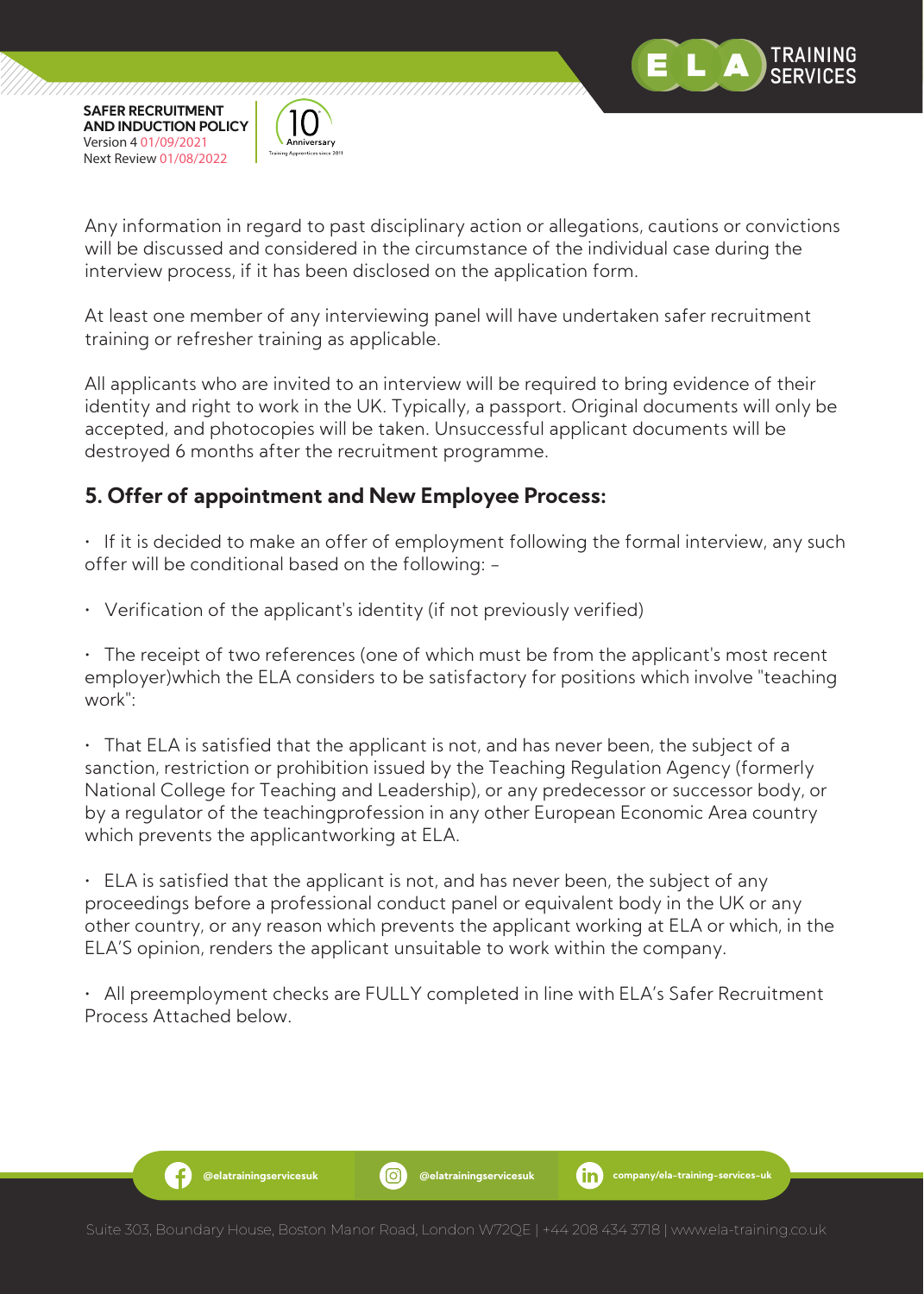

Ð



Any information in regard to past disciplinary action or allegations, cautions or convictions will be discussed and considered in the circumstance of the individual case during the interview process, if it has been disclosed on the application form.

At least one member of any interviewing panel will have undertaken safer recruitment training or refresher training as applicable.

All applicants who are invited to an interview will be required to bring evidence of their identity and right to work in the UK. Typically, a passport. Original documents will only be accepted, and photocopies will be taken. Unsuccessful applicant documents will be destroyed 6 months after the recruitment programme.

# **5. Offer of appointment and New Employee Process:**

• If it is decided to make an offer of employment following the formal interview, any such offer will be conditional based on the following: -

• Verification of the applicant's identity (if not previously verified)

• The receipt of two references (one of which must be from the applicant's most recent employer)which the ELA considers to be satisfactory for positions which involve "teaching work":

• That ELA is satisfied that the applicant is not, and has never been, the subject of a sanction, restriction or prohibition issued by the Teaching Regulation Agency (formerly National College for Teaching and Leadership), or any predecessor or successor body, or by a regulator of the teachingprofession in any other European Economic Area country which prevents the applicantworking at ELA.

 $\cdot$  ELA is satisfied that the applicant is not, and has never been, the subject of any proceedings before a professional conduct panel or equivalent body in the UK or any other country, or any reason which prevents the applicant working at ELA or which, in the ELA'S opinion, renders the applicant unsuitable to work within the company.

• All preemployment checks are FULLY completed in line with ELA's Safer Recruitment Process Attached below.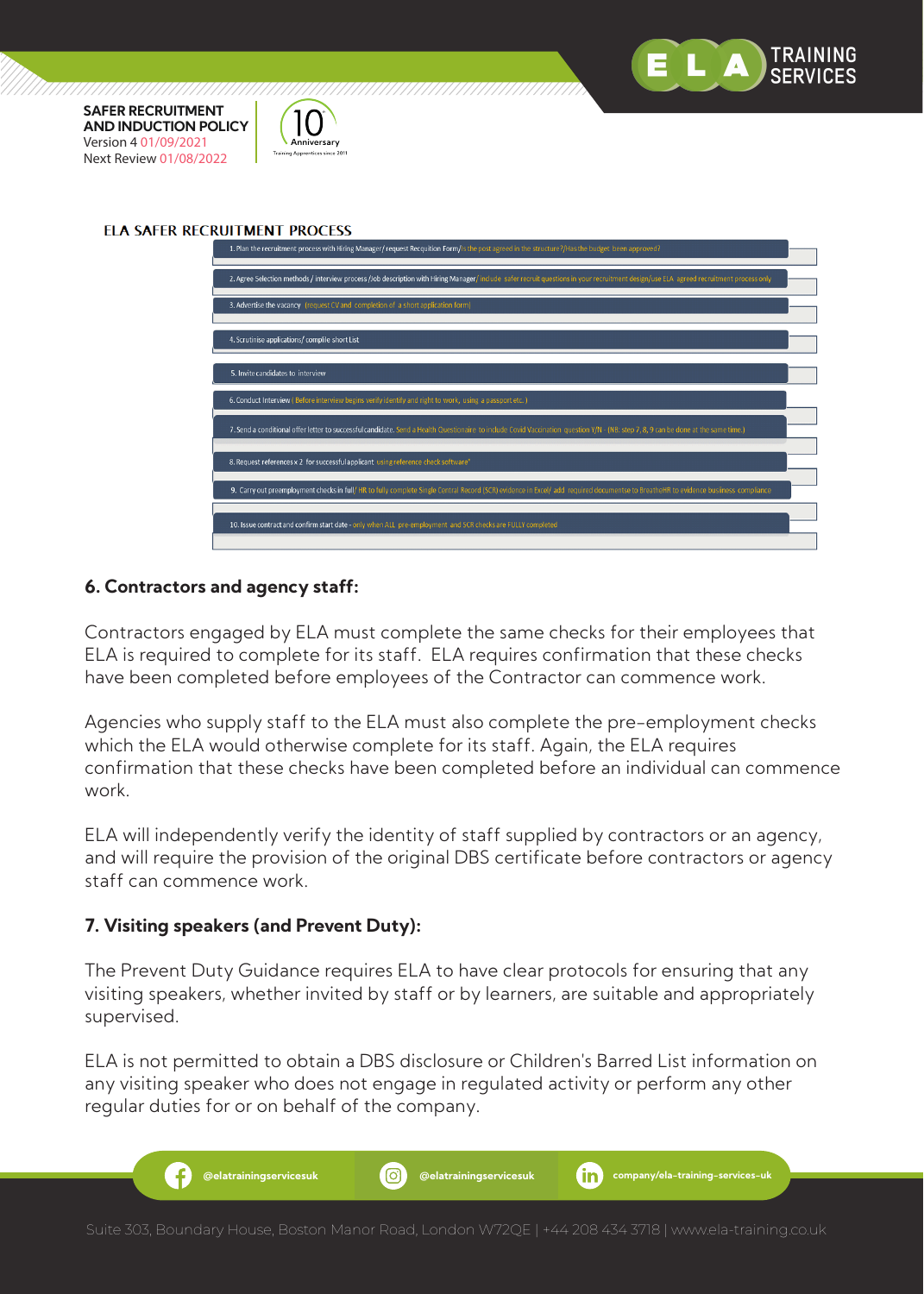

,,,,,,,,,,,,,,,,,,,,,,,,,,,,,,

#### **FLA SAFFR RECRUITMENT PROCESS**

777777777777777

**Inniversary** Training Apprentices since 201



#### **6. Contractors and agency staff:**

Contractors engaged by ELA must complete the same checks for their employees that ELA is required to complete for its staff. ELA requires confirmation that these checks have been completed before employees of the Contractor can commence work.

Agencies who supply staff to the ELA must also complete the pre-employment checks which the ELA would otherwise complete for its staff. Again, the ELA requires confirmation that these checks have been completed before an individual can commence work.

ELA will independently verify the identity of staff supplied by contractors or an agency, and will require the provision of the original DBS certificate before contractors or agency staff can commence work.

#### **7. Visiting speakers (and Prevent Duty):**

The Prevent Duty Guidance requires ELA to have clear protocols for ensuring that any visiting speakers, whether invited by staff or by learners, are suitable and appropriately supervised.

ELA is not permitted to obtain a DBS disclosure or Children's Barred List information on any visiting speaker who does not engage in regulated activity or perform any other regular duties for or on behalf of the company.

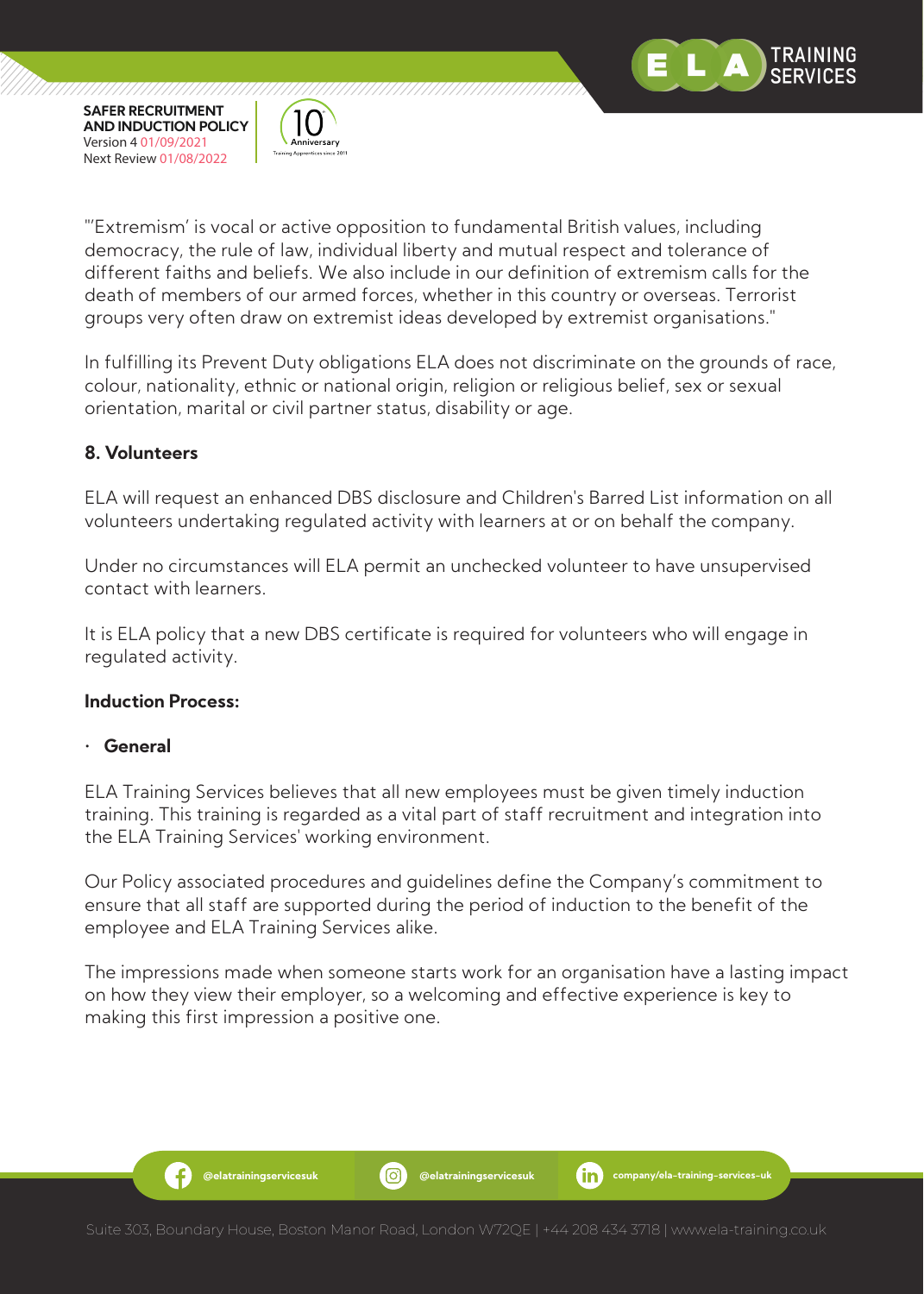



"'Extremism' is vocal or active opposition to fundamental British values, including democracy, the rule of law, individual liberty and mutual respect and tolerance of different faiths and beliefs. We also include in our definition of extremism calls for the death of members of our armed forces, whether in this country or overseas. Terrorist groups very often draw on extremist ideas developed by extremist organisations."

In fulfilling its Prevent Duty obligations ELA does not discriminate on the grounds of race, colour, nationality, ethnic or national origin, religion or religious belief, sex or sexual orientation, marital or civil partner status, disability or age.

# **8. Volunteers**

ELA will request an enhanced DBS disclosure and Children's Barred List information on all volunteers undertaking regulated activity with learners at or on behalf the company.

Under no circumstances will ELA permit an unchecked volunteer to have unsupervised contact with learners.

It is ELA policy that a new DBS certificate is required for volunteers who will engage in regulated activity.

# **Induction Process:**

-6

# • **General**

ELA Training Services believes that all new employees must be given timely induction training. This training is regarded as a vital part of staff recruitment and integration into the ELA Training Services' working environment.

Our Policy associated procedures and guidelines define the Company's commitment to ensure that all staff are supported during the period of induction to the benefit of the employee and ELA Training Services alike.

The impressions made when someone starts work for an organisation have a lasting impact on how they view their employer, so a welcoming and effective experience is key to making this first impression a positive one.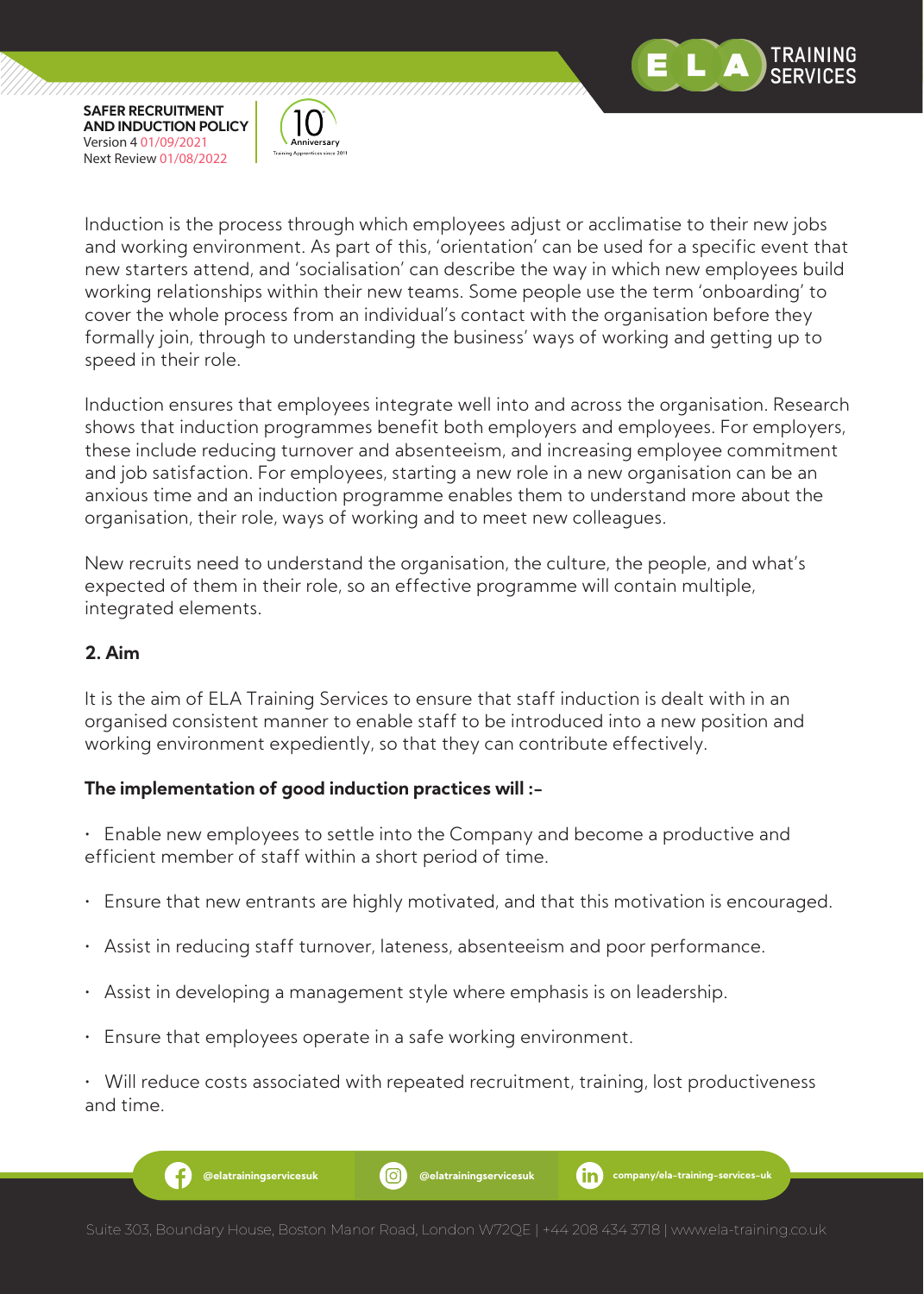



Induction is the process through which employees adjust or acclimatise to their new jobs and working environment. As part of this, 'orientation' can be used for a specific event that new starters attend, and 'socialisation' can describe the way in which new employees build working relationships within their new teams. Some people use the term 'onboarding' to cover the whole process from an individual's contact with the organisation before they formally join, through to understanding the business' ways of working and getting up to speed in their role.

Induction ensures that employees integrate well into and across the organisation. Research shows that induction programmes benefit both employers and employees. For employers, these include reducing turnover and absenteeism, and increasing employee commitment and job satisfaction. For employees, starting a new role in a new organisation can be an anxious time and an induction programme enables them to understand more about the organisation, their role, ways of working and to meet new colleagues.

New recruits need to understand the organisation, the culture, the people, and what's expected of them in their role, so an effective programme will contain multiple, integrated elements.

# **2. Aim**

It is the aim of ELA Training Services to ensure that staff induction is dealt with in an organised consistent manner to enable staff to be introduced into a new position and working environment expediently, so that they can contribute effectively.

# **The implementation of good induction practices will :-**

• Enable new employees to settle into the Company and become a productive and efficient member of staff within a short period of time.

- Ensure that new entrants are highly motivated, and that this motivation is encouraged.
- Assist in reducing staff turnover, lateness, absenteeism and poor performance.
- Assist in developing a management style where emphasis is on leadership.
- Ensure that employees operate in a safe working environment.

• Will reduce costs associated with repeated recruitment, training, lost productiveness and time.

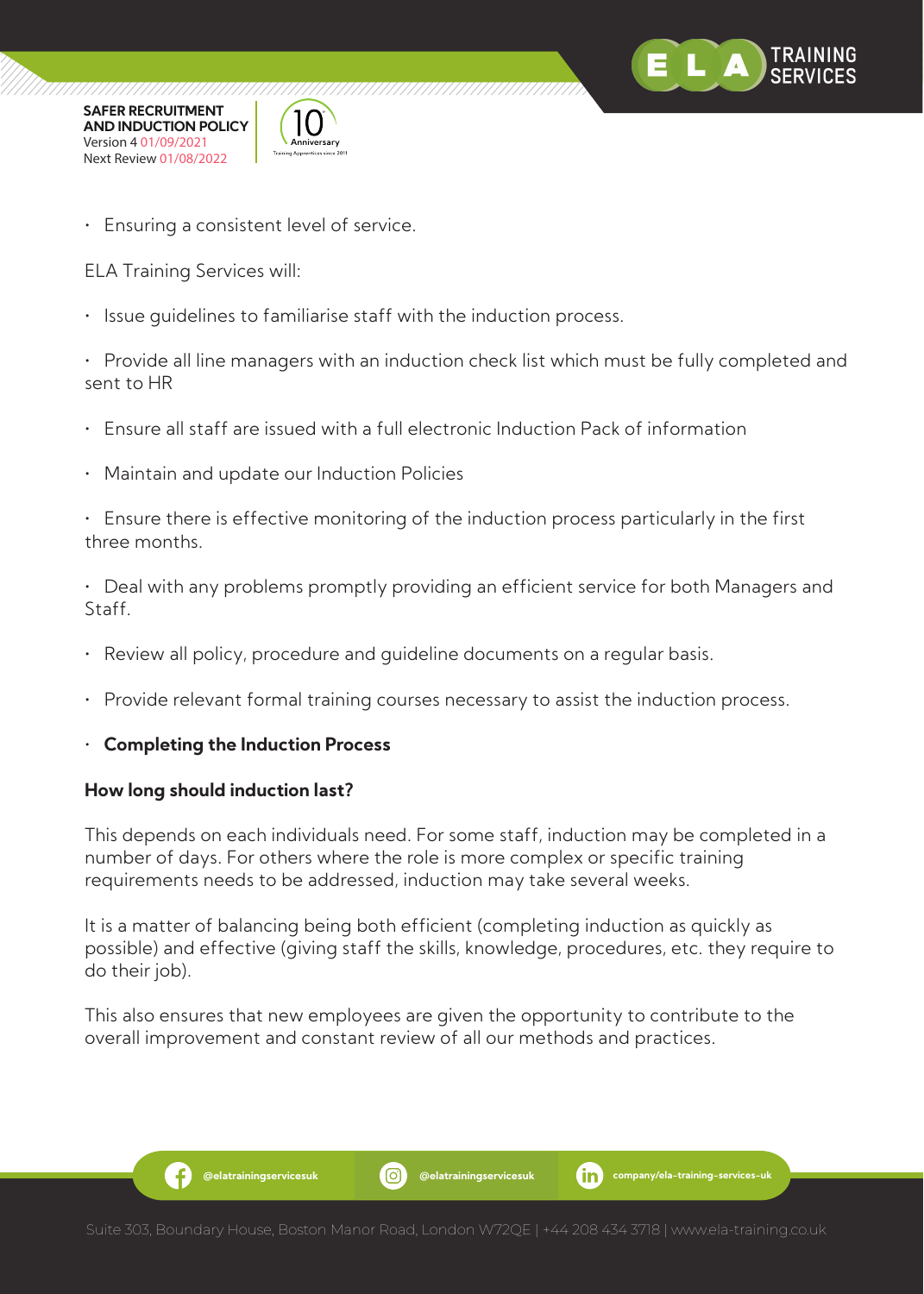



• Ensuring a consistent level of service.

ELA Training Services will:

• Issue guidelines to familiarise staff with the induction process.

• Provide all line managers with an induction check list which must be fully completed and sent to HR

- Ensure all staff are issued with a full electronic Induction Pack of information
- Maintain and update our Induction Policies

• Ensure there is effective monitoring of the induction process particularly in the first three months.

• Deal with any problems promptly providing an efficient service for both Managers and Staff.

- Review all policy, procedure and guideline documents on a regular basis.
- Provide relevant formal training courses necessary to assist the induction process.

# • **Completing the Induction Process**

#### **How long should induction last?**

3

This depends on each individuals need. For some staff, induction may be completed in a number of days. For others where the role is more complex or specific training requirements needs to be addressed, induction may take several weeks.

It is a matter of balancing being both efficient (completing induction as quickly as possible) and effective (giving staff the skills, knowledge, procedures, etc. they require to do their job).

This also ensures that new employees are given the opportunity to contribute to the overall improvement and constant review of all our methods and practices.